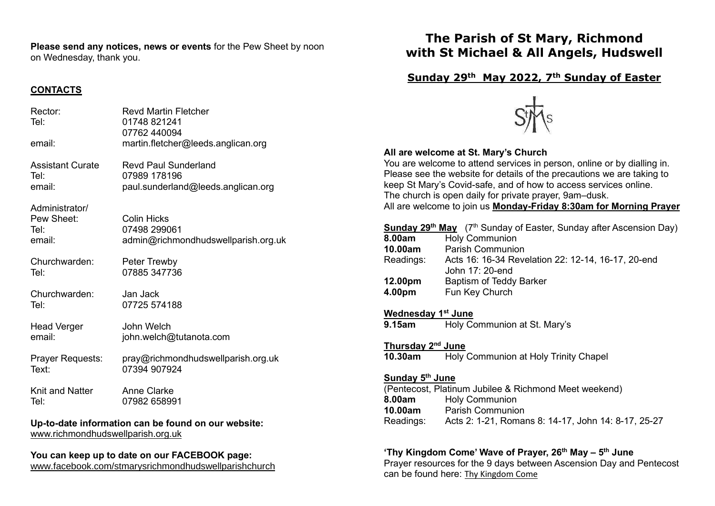**Please send any notices, news or events** for the Pew Sheet by noon on Wednesday, thank you.

## **CONTACTS**

| Rector:<br>Tel:                                         | <b>Revd Martin Fletcher</b><br>01748 821241<br>07762 440094               |  |
|---------------------------------------------------------|---------------------------------------------------------------------------|--|
| email:                                                  | martin.fletcher@leeds.anglican.org                                        |  |
| <b>Assistant Curate</b>                                 | <b>Revd Paul Sunderland</b>                                               |  |
| Tel·                                                    | 07989 178196                                                              |  |
| email:                                                  | paul.sunderland@leeds.anglican.org                                        |  |
| Administrator/<br>Pew Sheet:<br>Tel:<br>email:          | <b>Colin Hicks</b><br>07498 299061<br>admin@richmondhudswellparish.org.uk |  |
| Churchwarden:                                           | Peter Trewby                                                              |  |
| Tel:                                                    | 07885 347736                                                              |  |
| Churchwarden:                                           | Jan Jack                                                                  |  |
| Tel:                                                    | 07725 574188                                                              |  |
| <b>Head Verger</b>                                      | John Welch                                                                |  |
| email:                                                  | john.welch@tutanota.com                                                   |  |
| Prayer Requests:                                        | pray@richmondhudswellparish.org.uk                                        |  |
| Text:                                                   | 07394 907924                                                              |  |
| Knit and Natter                                         | <b>Anne Clarke</b>                                                        |  |
| Tel:                                                    | 07982 658991                                                              |  |
| lla ta data information con ha found of<br>مفالدها جممت |                                                                           |  |

**Up-to-date information can be found on our website:** [www.richmondhudswellparish.org.uk](http://www.richmondhudswellparish.org.uk/)

#### **You can keep up to date on our FACEBOOK page:** [www.facebook.com/stmarysrichmondhudswellparishchurch](http://www.facebook.com/stmarysrichmondhudswellparishchurch)

# **The Parish of St Mary, Richmond with St Michael & All Angels, Hudswell**

## **Sunday 29th May 2022, 7th Sunday of Easter**



### **All are welcome at St. Mary's Church**

You are welcome to attend services in person, online or by dialling in. Please see the website for details of the precautions we are taking to keep St Mary's Covid-safe, and of how to access services online. The church is open daily for private prayer, 9am–dusk. All are welcome to join us **Monday-Friday 8:30am for Morning Prayer**

|              | <b>Sunday 29<sup>th</sup> May</b> (7 <sup>th</sup> Sunday of Easter, Sunday after Ascension Day) |
|--------------|--------------------------------------------------------------------------------------------------|
| 8.00am       | <b>Holy Communion</b>                                                                            |
| 10.00am      | <b>Parish Communion</b>                                                                          |
| Readings:    | Acts 16: 16-34 Revelation 22: 12-14, 16-17, 20-end                                               |
|              | John 17: 20-end                                                                                  |
| 12.00pm      | Baptism of Teddy Barker                                                                          |
| 4.00pm       | Fun Key Church                                                                                   |
|              |                                                                                                  |
| $\mathbf{r}$ |                                                                                                  |

**Wednesday 1 st June 9.15am** Holy Communion at St. Mary's

**Thursday 2 nd June**

**10.30am** Holy Communion at Holy Trinity Chapel

#### **Sunday 5 th June**

(Pentecost, Platinum Jubilee & Richmond Meet weekend) **8.00am** Holy Communion **10.00am** Parish Communion Readings: Acts 2: 1-21, Romans 8: 14-17, John 14: 8-17, 25-27

#### **'Thy Kingdom Come' Wave of Prayer, 26th May – 5 th June**

Prayer resources for the 9 days between Ascension Day and Pentecost can be found here: [Thy Kingdom Come](https://www.thykingdomcome.global/)